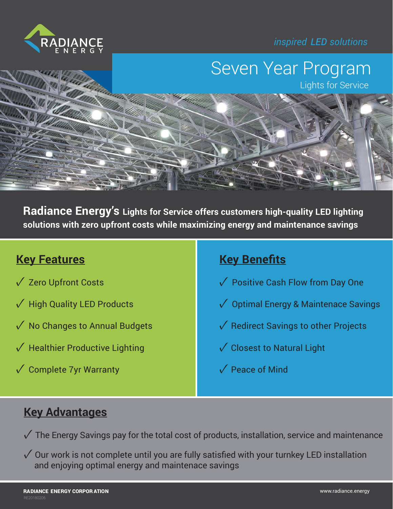*inspired LED solutions*



## Seven Year Program

Lights for Service

**Radiance Energy's Lights for Service offers customers high-quality LED lighting solutions with zero upfront costs while maximizing energy and maintenance savings**

### **Key Features**

- ✓ Zero Upfront Costs
- ✓ High Quality LED Products
- $\sqrt{\ }$  No Changes to Annual Budgets
- $\sqrt{\ }$  Healthier Productive Lighting
- $\sqrt{\ }$  Complete 7yr Warranty

### **Key Benefits**

- ✓ Positive Cash Flow from Day One
- ✓ Optimal Energy & Maintenace Savings
- ✓ Redirect Savings to other Projects
- ✓ Closest to Natural Light
- ✓ Peace of Mind

#### **Key Advantages**

 $\sqrt{\ }$  The Energy Savings pay for the total cost of products, installation, service and maintenance

 $\sqrt{\ }$  Our work is not complete until you are fully satisfied with your turnkey LED installation and enjoying optimal energy and maintenace savings